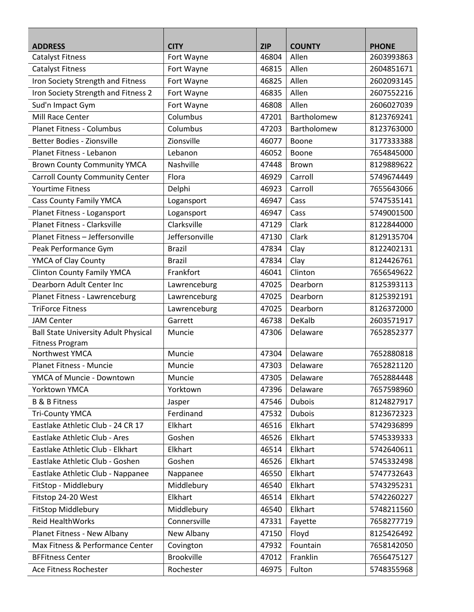| <b>ADDRESS</b>                              | <b>CITY</b>       | <b>ZIP</b> | <b>COUNTY</b> | <b>PHONE</b> |
|---------------------------------------------|-------------------|------------|---------------|--------------|
| <b>Catalyst Fitness</b>                     | Fort Wayne        | 46804      | Allen         | 2603993863   |
| <b>Catalyst Fitness</b>                     | Fort Wayne        | 46815      | Allen         | 2604851671   |
| Iron Society Strength and Fitness           | Fort Wayne        | 46825      | Allen         | 2602093145   |
| Iron Society Strength and Fitness 2         | Fort Wayne        | 46835      | Allen         | 2607552216   |
| Sud'n Impact Gym                            | Fort Wayne        | 46808      | Allen         | 2606027039   |
| Mill Race Center                            | Columbus          | 47201      | Bartholomew   | 8123769241   |
| <b>Planet Fitness - Columbus</b>            | Columbus          | 47203      | Bartholomew   | 8123763000   |
| Better Bodies - Zionsville                  | Zionsville        | 46077      | Boone         | 3177333388   |
| Planet Fitness - Lebanon                    | Lebanon           | 46052      | Boone         | 7654845000   |
| <b>Brown County Community YMCA</b>          | Nashville         | 47448      | Brown         | 8129889622   |
| <b>Carroll County Community Center</b>      | Flora             | 46929      | Carroll       | 5749674449   |
| <b>Yourtime Fitness</b>                     | Delphi            | 46923      | Carroll       | 7655643066   |
| <b>Cass County Family YMCA</b>              | Logansport        | 46947      | Cass          | 5747535141   |
| Planet Fitness - Logansport                 | Logansport        | 46947      | Cass          | 5749001500   |
| <b>Planet Fitness - Clarksville</b>         | Clarksville       | 47129      | Clark         | 8122844000   |
| Planet Fitness - Jeffersonville             | Jeffersonville    | 47130      | Clark         | 8129135704   |
| Peak Performance Gym                        | <b>Brazil</b>     | 47834      | Clay          | 8122402131   |
| YMCA of Clay County                         | <b>Brazil</b>     | 47834      | Clay          | 8124426761   |
| <b>Clinton County Family YMCA</b>           | Frankfort         | 46041      | Clinton       | 7656549622   |
| Dearborn Adult Center Inc                   | Lawrenceburg      | 47025      | Dearborn      | 8125393113   |
| Planet Fitness - Lawrenceburg               | Lawrenceburg      | 47025      | Dearborn      | 8125392191   |
| <b>TriForce Fitness</b>                     | Lawrenceburg      | 47025      | Dearborn      | 8126372000   |
| <b>JAM Center</b>                           | Garrett           | 46738      | DeKalb        | 2603571917   |
| <b>Ball State University Adult Physical</b> | Muncie            | 47306      | Delaware      | 7652852377   |
| <b>Fitness Program</b>                      |                   |            |               |              |
| <b>Northwest YMCA</b>                       | Muncie            | 47304      | Delaware      | 7652880818   |
| <b>Planet Fitness - Muncie</b>              | Muncie            | 47303      | Delaware      | 7652821120   |
| YMCA of Muncie - Downtown                   | Muncie            | 47305      | Delaware      | 7652884448   |
| Yorktown YMCA                               | Yorktown          | 47396      | Delaware      | 7657598960   |
| <b>B &amp; B Fitness</b>                    | Jasper            | 47546      | <b>Dubois</b> | 8124827917   |
| <b>Tri-County YMCA</b>                      | Ferdinand         | 47532      | <b>Dubois</b> | 8123672323   |
| Eastlake Athletic Club - 24 CR 17           | Elkhart           | 46516      | Elkhart       | 5742936899   |
| Eastlake Athletic Club - Ares               | Goshen            | 46526      | Elkhart       | 5745339333   |
| Eastlake Athletic Club - Elkhart            | Elkhart           | 46514      | Elkhart       | 5742640611   |
| Eastlake Athletic Club - Goshen             | Goshen            | 46526      | Elkhart       | 5745332498   |
| Eastlake Athletic Club - Nappanee           | Nappanee          | 46550      | Elkhart       | 5747732643   |
| FitStop - Middlebury                        | Middlebury        | 46540      | Elkhart       | 5743295231   |
| Fitstop 24-20 West                          | Elkhart           | 46514      | Elkhart       | 5742260227   |
| FitStop Middlebury                          | Middlebury        | 46540      | Elkhart       | 5748211560   |
| <b>Reid HealthWorks</b>                     | Connersville      | 47331      | Fayette       | 7658277719   |
| Planet Fitness - New Albany                 | New Albany        | 47150      | Floyd         | 8125426492   |
| Max Fitness & Performance Center            | Covington         | 47932      | Fountain      | 7658142050   |
| <b>BFFitness Center</b>                     | <b>Brookville</b> | 47012      | Franklin      | 7656475127   |
| Ace Fitness Rochester                       | Rochester         | 46975      | Fulton        | 5748355968   |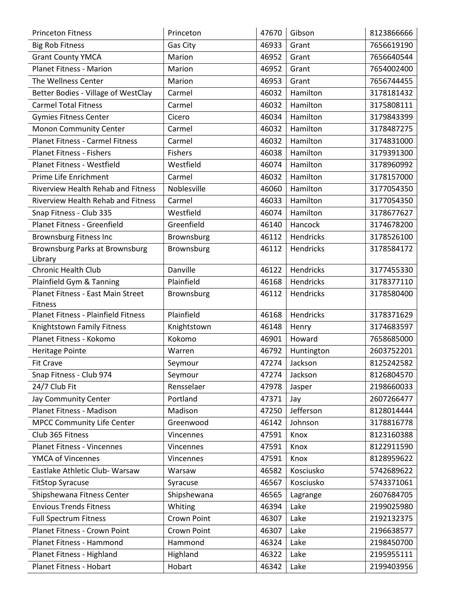| <b>Princeton Fitness</b>                   | Princeton   | 47670 | Gibson     | 8123866666 |
|--------------------------------------------|-------------|-------|------------|------------|
| <b>Big Rob Fitness</b>                     | Gas City    | 46933 | Grant      | 7656619190 |
| <b>Grant County YMCA</b>                   | Marion      | 46952 | Grant      | 7656640544 |
| <b>Planet Fitness - Marion</b>             | Marion      | 46952 | Grant      | 7654002400 |
| The Wellness Center                        | Marion      | 46953 | Grant      | 7656744455 |
| Better Bodies - Village of WestClay        | Carmel      | 46032 | Hamilton   | 3178181432 |
| <b>Carmel Total Fitness</b>                | Carmel      | 46032 | Hamilton   | 3175808111 |
| <b>Gymies Fitness Center</b>               | Cicero      | 46034 | Hamilton   | 3179843399 |
| <b>Monon Community Center</b>              | Carmel      | 46032 | Hamilton   | 3178487275 |
| <b>Planet Fitness - Carmel Fitness</b>     | Carmel      | 46032 | Hamilton   | 3174831000 |
| Planet Fitness - Fishers                   | Fishers     | 46038 | Hamilton   | 3179391300 |
| Planet Fitness - Westfield                 | Westfield   | 46074 | Hamilton   | 3178960992 |
| Prime Life Enrichment                      | Carmel      | 46032 | Hamilton   | 3178157000 |
| <b>Riverview Health Rehab and Fitness</b>  | Noblesville | 46060 | Hamilton   | 3177054350 |
| <b>Riverview Health Rehab and Fitness</b>  | Carmel      | 46033 | Hamilton   | 3177054350 |
| Snap Fitness - Club 335                    | Westfield   | 46074 | Hamilton   | 3178677627 |
| Planet Fitness - Greenfield                | Greenfield  | 46140 | Hancock    | 3174678200 |
| <b>Brownsburg Fitness Inc</b>              | Brownsburg  | 46112 | Hendricks  | 3178526100 |
| <b>Brownsburg Parks at Brownsburg</b>      | Brownsburg  | 46112 | Hendricks  | 3178584172 |
| Library                                    |             |       |            |            |
| <b>Chronic Health Club</b>                 | Danville    | 46122 | Hendricks  | 3177455330 |
| Plainfield Gym & Tanning                   | Plainfield  | 46168 | Hendricks  | 3178377110 |
| Planet Fitness - East Main Street          | Brownsburg  | 46112 | Hendricks  | 3178580400 |
| <b>Fitness</b>                             |             |       |            |            |
| <b>Planet Fitness - Plainfield Fitness</b> | Plainfield  | 46168 | Hendricks  | 3178371629 |
| Knightstown Family Fitness                 | Knightstown | 46148 | Henry      | 3174683597 |
| Planet Fitness - Kokomo                    | Kokomo      | 46901 | Howard     | 7658685000 |
| <b>Heritage Pointe</b>                     | Warren      | 46792 | Huntington | 2603752201 |
| <b>Fit Crave</b>                           | Seymour     | 47274 | Jackson    | 8125242582 |
| Snap Fitness - Club 974                    | Seymour     | 47274 | Jackson    | 8126804570 |
| 24/7 Club Fit                              | Rensselaer  | 47978 | Jasper     | 2198660033 |
| Jay Community Center                       | Portland    | 47371 | Jay        | 2607266477 |
| Planet Fitness - Madison                   | Madison     | 47250 | Jefferson  | 8128014444 |
| <b>MPCC Community Life Center</b>          | Greenwood   | 46142 | Johnson    | 3178816778 |
| Club 365 Fitness                           | Vincennes   | 47591 | Knox       | 8123160388 |
| <b>Planet Fitness - Vincennes</b>          | Vincennes   | 47591 | Knox       | 8122911590 |
| YMCA of Vincennes                          | Vincennes   | 47591 | Knox       | 8128959622 |
| Eastlake Athletic Club- Warsaw             | Warsaw      | 46582 | Kosciusko  | 5742689622 |
| <b>FitStop Syracuse</b>                    | Syracuse    | 46567 | Kosciusko  | 5743371061 |
| Shipshewana Fitness Center                 | Shipshewana | 46565 | Lagrange   | 2607684705 |
| <b>Envious Trends Fitness</b>              | Whiting     | 46394 | Lake       | 2199025980 |
| <b>Full Spectrum Fitness</b>               | Crown Point | 46307 | Lake       | 2192132375 |
| Planet Fitness - Crown Point               | Crown Point | 46307 | Lake       | 2196638577 |
| Planet Fitness - Hammond                   | Hammond     | 46324 | Lake       | 2198450700 |
| Planet Fitness - Highland                  | Highland    | 46322 | Lake       | 2195955111 |
| Planet Fitness - Hobart                    | Hobart      | 46342 | Lake       | 2199403956 |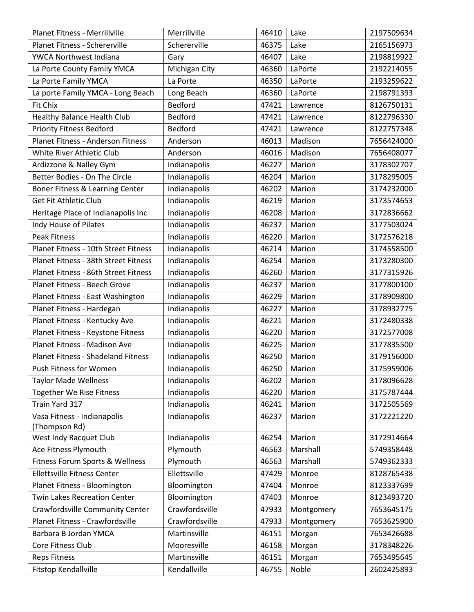| <b>Planet Fitness - Merrillville</b>      | Merrillville   | 46410 | Lake       | 2197509634 |
|-------------------------------------------|----------------|-------|------------|------------|
| Planet Fitness - Schererville             | Schererville   | 46375 | Lake       | 2165156973 |
| YWCA Northwest Indiana                    | Gary           | 46407 | Lake       | 2198819922 |
| La Porte County Family YMCA               | Michigan City  | 46360 | LaPorte    | 2192214055 |
| La Porte Family YMCA                      | La Porte       | 46350 | LaPorte    | 2193259622 |
| La porte Family YMCA - Long Beach         | Long Beach     | 46360 | LaPorte    | 2198791393 |
| Fit Chix                                  | Bedford        | 47421 | Lawrence   | 8126750131 |
| Healthy Balance Health Club               | Bedford        | 47421 | Lawrence   | 8122796330 |
| <b>Priority Fitness Bedford</b>           | Bedford        | 47421 | Lawrence   | 8122757348 |
| <b>Planet Fitness - Anderson Fitness</b>  | Anderson       | 46013 | Madison    | 7656424000 |
| White River Athletic Club                 | Anderson       | 46016 | Madison    | 7656408077 |
| Ardizzone & Nalley Gym                    | Indianapolis   | 46227 | Marion     | 3178302707 |
| Better Bodies - On The Circle             | Indianapolis   | 46204 | Marion     | 3178295005 |
| Boner Fitness & Learning Center           | Indianapolis   | 46202 | Marion     | 3174232000 |
| <b>Get Fit Athletic Club</b>              | Indianapolis   | 46219 | Marion     | 3173574653 |
| Heritage Place of Indianapolis Inc        | Indianapolis   | 46208 | Marion     | 3172836662 |
| Indy House of Pilates                     | Indianapolis   | 46237 | Marion     | 3177503024 |
| <b>Peak Fitness</b>                       | Indianapolis   | 46220 | Marion     | 3172576218 |
| Planet Fitness - 10th Street Fitness      | Indianapolis   | 46214 | Marion     | 3174558500 |
| Planet Fitness - 38th Street Fitness      | Indianapolis   | 46254 | Marion     | 3173280300 |
| Planet Fitness - 86th Street Fitness      | Indianapolis   | 46260 | Marion     | 3177315926 |
| Planet Fitness - Beech Grove              | Indianapolis   | 46237 | Marion     | 3177800100 |
| Planet Fitness - East Washington          | Indianapolis   | 46229 | Marion     | 3178909800 |
| Planet Fitness - Hardegan                 | Indianapolis   | 46227 | Marion     | 3178932775 |
| Planet Fitness - Kentucky Ave             | Indianapolis   | 46221 | Marion     | 3172480338 |
| Planet Fitness - Keystone Fitness         | Indianapolis   | 46220 | Marion     | 3172577008 |
| Planet Fitness - Madison Ave              | Indianapolis   | 46225 | Marion     | 3177835500 |
| <b>Planet Fitness - Shadeland Fitness</b> | Indianapolis   | 46250 | Marion     | 3179156000 |
| Push Fitness for Women                    | Indianapolis   | 46250 | Marion     | 3175959006 |
| Taylor Made Wellness                      | Indianapolis   | 46202 | Marion     | 3178096628 |
| Together We Rise Fitness                  | Indianapolis   | 46220 | Marion     | 3175787444 |
| Train Yard 317                            | Indianapolis   | 46241 | Marion     | 3172505569 |
| Vasa Fitness - Indianapolis               | Indianapolis   | 46237 | Marion     | 3172221220 |
| Thompson Rd)                              |                |       |            |            |
| West Indy Racquet Club                    | Indianapolis   | 46254 | Marion     | 3172914664 |
| Ace Fitness Plymouth                      | Plymouth       | 46563 | Marshall   | 5749358448 |
| Fitness Forum Sports & Wellness           | Plymouth       | 46563 | Marshall   | 5749362333 |
| Ellettsville Fitness Center               | Ellettsville   | 47429 | Monroe     | 8128765438 |
| Planet Fitness - Bloomington              | Bloomington    | 47404 | Monroe     | 8123337699 |
| <b>Twin Lakes Recreation Center</b>       | Bloomington    | 47403 | Monroe     | 8123493720 |
| Crawfordsville Community Center           | Crawfordsville | 47933 | Montgomery | 7653645175 |
| Planet Fitness - Crawfordsville           | Crawfordsville | 47933 | Montgomery | 7653625900 |
| Barbara B Jordan YMCA                     | Martinsville   | 46151 | Morgan     | 7653426688 |
| Core Fitness Club                         | Mooresville    | 46158 | Morgan     | 3178348226 |
| <b>Reps Fitness</b>                       | Martinsville   | 46151 | Morgan     | 7653495645 |
| Fitstop Kendallville                      | Kendallville   | 46755 | Noble      | 2602425893 |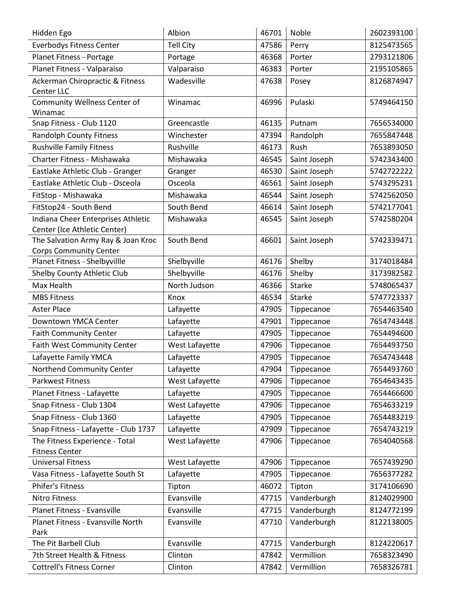| Hidden Ego                           | Albion           | 46701 | Noble         | 2602393100 |
|--------------------------------------|------------------|-------|---------------|------------|
| <b>Everbodys Fitness Center</b>      | <b>Tell City</b> | 47586 | Perry         | 8125473565 |
| Planet Fitness - Portage             | Portage          | 46368 | Porter        | 2793121806 |
| Planet Fitness - Valparaiso          | Valparaiso       | 46383 | Porter        | 2195105865 |
| Ackerman Chiropractic & Fitness      | Wadesville       | 47638 | Posey         | 8126874947 |
| Center LLC                           |                  |       |               |            |
| Community Wellness Center of         | Winamac          | 46996 | Pulaski       | 5749464150 |
| Winamac                              |                  |       |               |            |
| Snap Fitness - Club 1120             | Greencastle      | 46135 | Putnam        | 7656534000 |
| <b>Randolph County Fitness</b>       | Winchester       | 47394 | Randolph      | 7655847448 |
| <b>Rushville Family Fitness</b>      | Rushville        | 46173 | Rush          | 7653893050 |
| Charter Fitness - Mishawaka          | Mishawaka        | 46545 | Saint Joseph  | 5742343400 |
| Eastlake Athletic Club - Granger     | Granger          | 46530 | Saint Joseph  | 5742722222 |
| Eastlake Athletic Club - Osceola     | Osceola          | 46561 | Saint Joseph  | 5743295231 |
| FitStop - Mishawaka                  | Mishawaka        | 46544 | Saint Joseph  | 5742562050 |
| FitStop24 - South Bend               | South Bend       | 46614 | Saint Joseph  | 5742177041 |
| Indiana Cheer Enterprises Athletic   | Mishawaka        | 46545 | Saint Joseph  | 5742580204 |
| Center (Ice Athletic Center)         |                  |       |               |            |
| The Salvation Army Ray & Joan Kroc   | South Bend       | 46601 | Saint Joseph  | 5742339471 |
| <b>Corps Community Center</b>        |                  |       |               |            |
| Planet Fitness - Shelbyvillle        | Shelbyville      | 46176 | Shelby        | 3174018484 |
| Shelby County Athletic Club          | Shelbyville      | 46176 | Shelby        | 3173982582 |
| Max Health                           | North Judson     | 46366 | <b>Starke</b> | 5748065437 |
| <b>MBS Fitness</b>                   | Knox             | 46534 | <b>Starke</b> | 5747723337 |
| <b>Aster Place</b>                   | Lafayette        | 47905 | Tippecanoe    | 7654463540 |
| Downtown YMCA Center                 | Lafayette        | 47901 | Tippecanoe    | 7654743448 |
| <b>Faith Community Center</b>        | Lafayette        | 47905 | Tippecanoe    | 7654494600 |
| Faith West Community Center          | West Lafayette   | 47906 | Tippecanoe    | 7654493750 |
| Lafayette Family YMCA                | Lafayette        | 47905 | Tippecanoe    | 7654743448 |
| Northend Community Center            | Lafayette        | 47904 | Tippecanoe    | 7654493760 |
| <b>Parkwest Fitness</b>              | West Lafayette   | 47906 | Tippecanoe    | 7654643435 |
| Planet Fitness - Lafayette           | Lafayette        | 47905 | Tippecanoe    | 7654466600 |
| Snap Fitness - Club 1304             | West Lafayette   | 47906 | Tippecanoe    | 7654633219 |
| Snap Fitness - Club 1360             | Lafayette        | 47905 | Tippecanoe    | 7654483219 |
| Snap Fitness - Lafayette - Club 1737 | Lafayette        | 47909 | Tippecanoe    | 7654743219 |
| The Fitness Experience - Total       | West Lafayette   | 47906 | Tippecanoe    | 7654040568 |
| <b>Fitness Center</b>                |                  |       |               |            |
| <b>Universal Fitness</b>             | West Lafayette   | 47906 | Tippecanoe    | 7657439290 |
| Vasa Fitness - Lafayette South St    | Lafayette        | 47905 | Tippecanoe    | 7656377282 |
| Phifer's Fitness                     | Tipton           | 46072 | Tipton        | 3174106690 |
| <b>Nitro Fitness</b>                 | Evansville       | 47715 | Vanderburgh   | 8124029900 |
| Planet Fitness - Evansville          | Evansville       | 47715 | Vanderburgh   | 8124772199 |
| Planet Fitness - Evansville North    | Evansville       | 47710 | Vanderburgh   | 8122138005 |
| Park                                 |                  |       |               |            |
| The Pit Barbell Club                 | Evansville       | 47715 | Vanderburgh   | 8124220617 |
| 7th Street Health & Fitness          | Clinton          | 47842 | Vermillion    | 7658323490 |
| <b>Cottrell's Fitness Corner</b>     | Clinton          | 47842 | Vermillion    | 7658326781 |